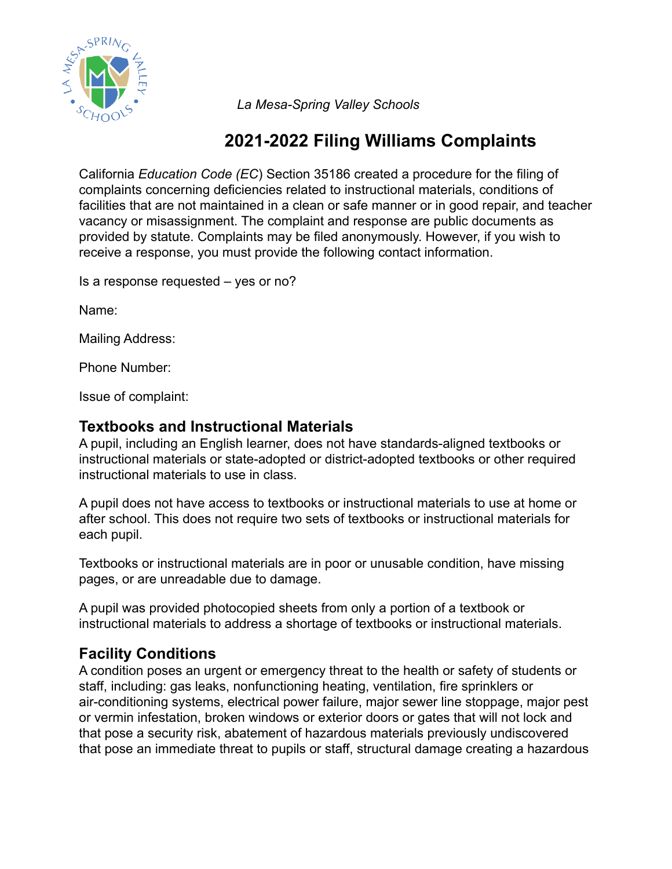

*La Mesa-Spring Valley Schools*

# **2021-2022 Filing Williams Complaints**

California *Education Code (EC*) Section 35186 created a procedure for the filing of complaints concerning deficiencies related to instructional materials, conditions of facilities that are not maintained in a clean or safe manner or in good repair, and teacher vacancy or misassignment. The complaint and response are public documents as provided by statute. Complaints may be filed anonymously. However, if you wish to receive a response, you must provide the following contact information.

Is a response requested – yes or no?

Name:

Mailing Address:

Phone Number:

Issue of complaint:

### **Textbooks and Instructional Materials**

A pupil, including an English learner, does not have standards-aligned textbooks or instructional materials or state-adopted or district-adopted textbooks or other required instructional materials to use in class.

A pupil does not have access to textbooks or instructional materials to use at home or after school. This does not require two sets of textbooks or instructional materials for each pupil.

Textbooks or instructional materials are in poor or unusable condition, have missing pages, or are unreadable due to damage.

A pupil was provided photocopied sheets from only a portion of a textbook or instructional materials to address a shortage of textbooks or instructional materials.

## **Facility Conditions**

A condition poses an urgent or emergency threat to the health or safety of students or staff, including: gas leaks, nonfunctioning heating, ventilation, fire sprinklers or air-conditioning systems, electrical power failure, major sewer line stoppage, major pest or vermin infestation, broken windows or exterior doors or gates that will not lock and that pose a security risk, abatement of hazardous materials previously undiscovered that pose an immediate threat to pupils or staff, structural damage creating a hazardous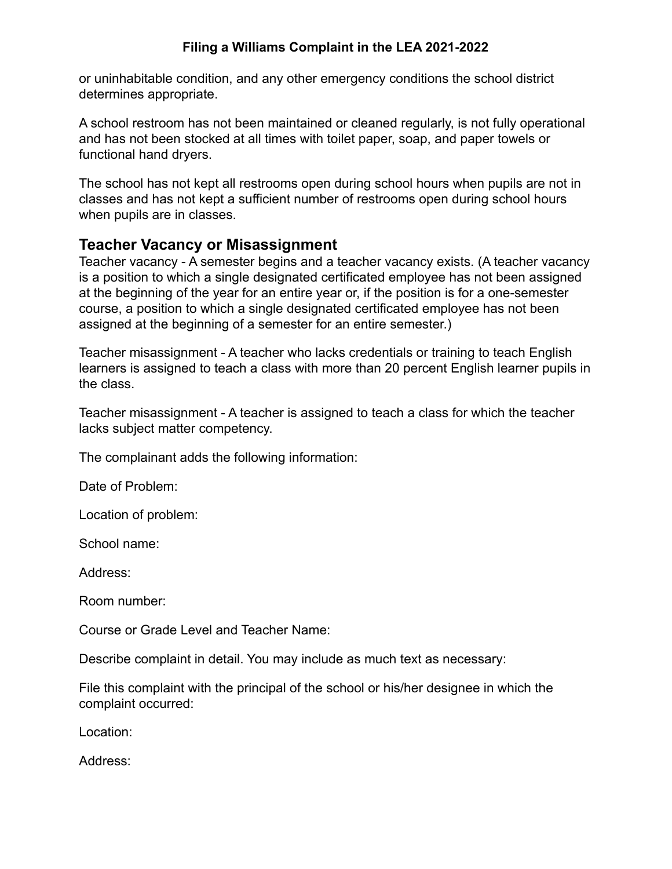#### **Filing a Williams Complaint in the LEA 2021-2022**

or uninhabitable condition, and any other emergency conditions the school district determines appropriate.

A school restroom has not been maintained or cleaned regularly, is not fully operational and has not been stocked at all times with toilet paper, soap, and paper towels or functional hand dryers.

The school has not kept all restrooms open during school hours when pupils are not in classes and has not kept a sufficient number of restrooms open during school hours when pupils are in classes.

#### **Teacher Vacancy or Misassignment**

Teacher vacancy - A semester begins and a teacher vacancy exists. (A teacher vacancy is a position to which a single designated certificated employee has not been assigned at the beginning of the year for an entire year or, if the position is for a one-semester course, a position to which a single designated certificated employee has not been assigned at the beginning of a semester for an entire semester.)

Teacher misassignment - A teacher who lacks credentials or training to teach English learners is assigned to teach a class with more than 20 percent English learner pupils in the class.

Teacher misassignment - A teacher is assigned to teach a class for which the teacher lacks subject matter competency.

The complainant adds the following information:

Date of Problem:

Location of problem:

School name:

Address:

Room number:

Course or Grade Level and Teacher Name:

Describe complaint in detail. You may include as much text as necessary:

File this complaint with the principal of the school or his/her designee in which the complaint occurred:

Location:

Address: